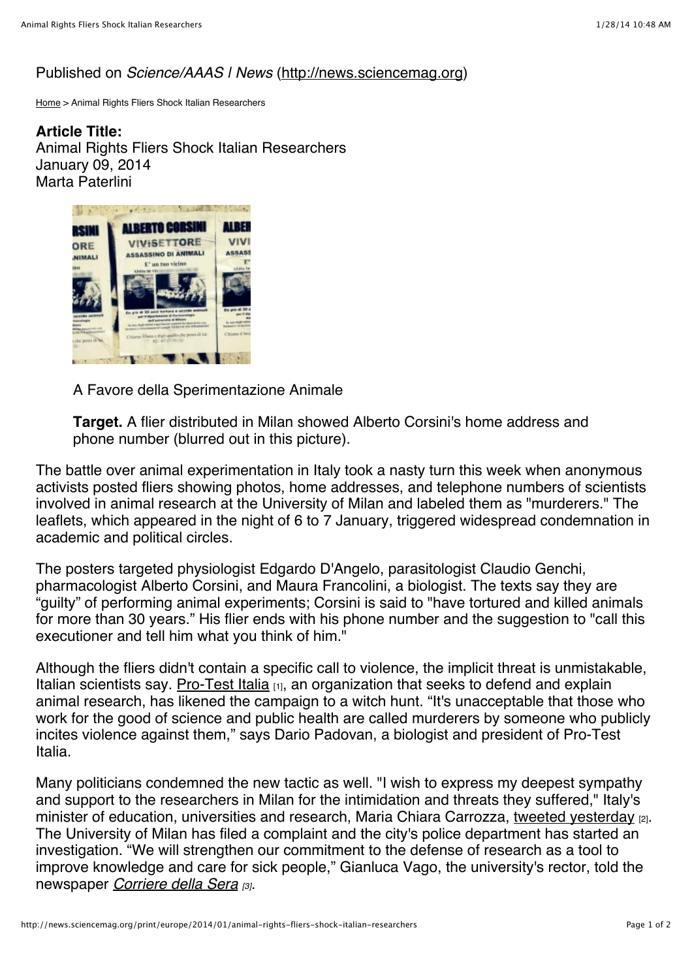## Published on *Science/AAAS | News* [\(http://news.sciencemag.org](http://news.sciencemag.org/))

[Home](http://news.sciencemag.org/) > Animal Rights Fliers Shock Italian Researchers

**Article Title:**  Animal Rights Fliers Shock Italian Researchers January 09, 2014 Marta Paterlini



A Favore della Sperimentazione Animale

**Target.** A flier distributed in Milan showed Alberto Corsini's home address and phone number (blurred out in this picture).

The battle over animal experimentation in Italy took a nasty turn this week when anonymous activists posted fliers showing photos, home addresses, and telephone numbers of scientists involved in animal research at the University of Milan and labeled them as "murderers." The leaflets, which appeared in the night of 6 to 7 January, triggered widespread condemnation in academic and political circles.

The posters targeted physiologist Edgardo D'Angelo, parasitologist Claudio Genchi, pharmacologist Alberto Corsini, and Maura Francolini, a biologist. The texts say they are "guilty" of performing animal experiments; Corsini is said to "have tortured and killed animals for more than 30 years." His flier ends with his phone number and the suggestion to "call this executioner and tell him what you think of him."

Although the fliers didn't contain a specific call to violence, the implicit threat is unmistakable, Italian scientists say. [Pro-Test Italia](http://www.pro-test.it/)  $H_{11}$ , an organization that seeks to defend and explain animal research, has likened the campaign to a witch hunt. "It's unacceptable that those who work for the good of science and public health are called murderers by someone who publicly incites violence against them," says Dario Padovan, a biologist and president of Pro-Test Italia.

Many politicians condemned the new tactic as well. "I wish to express my deepest sympathy and support to the researchers in Milan for the intimidation and threats they suffered," Italy's minister of education, universities and research, Maria Chiara Carrozza, tweeted vesterday [2]. The University of Milan has filed a complaint and the city's police department has started an investigation. "We will strengthen our commitment to the defense of research as a tool to improve knowledge and care for sick people," Gianluca Vago, the university's rector, told the newspaper *[Corriere della Sera](http://milano.corriere.it/milano/notizie/cronaca/14_gennaio_07/test-animali-manifesti-contro-ricercatori-divulgati-nomi-numeri-telefono-4857f05c-77c0-11e3-823d-1c8d3dcfa3d8.shtml) [3]*.